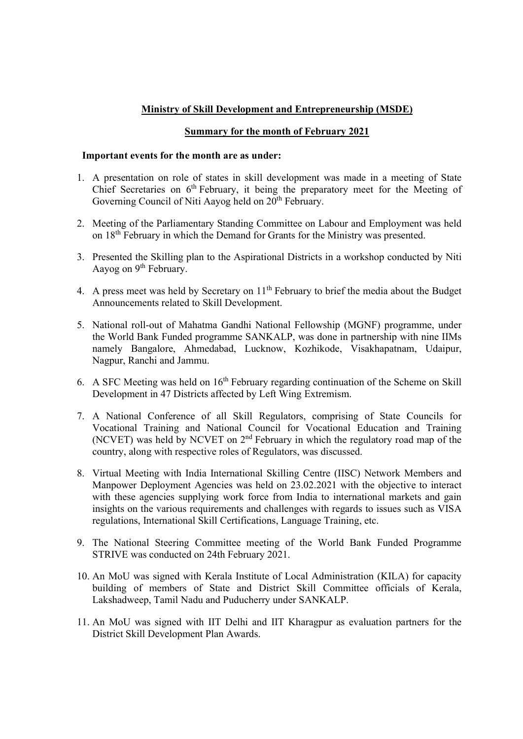## Ministry of Skill Development and Entrepreneurship (MSDE)

## Summary for the month of February 2021

## Important events for the month are as under:

- 1. A presentation on role of states in skill development was made in a meeting of State Chief Secretaries on 6<sup>th</sup> February, it being the preparatory meet for the Meeting of Governing Council of Niti Aayog held on 20<sup>th</sup> February.
- 2. Meeting of the Parliamentary Standing Committee on Labour and Employment was held on 18th February in which the Demand for Grants for the Ministry was presented.
- 3. Presented the Skilling plan to the Aspirational Districts in a workshop conducted by Niti Aayog on 9<sup>th</sup> February.
- 4. A press meet was held by Secretary on  $11<sup>th</sup>$  February to brief the media about the Budget Announcements related to Skill Development.
- 5. National roll-out of Mahatma Gandhi National Fellowship (MGNF) programme, under the World Bank Funded programme SANKALP, was done in partnership with nine IIMs namely Bangalore, Ahmedabad, Lucknow, Kozhikode, Visakhapatnam, Udaipur, Nagpur, Ranchi and Jammu.
- 6. A SFC Meeting was held on  $16<sup>th</sup>$  February regarding continuation of the Scheme on Skill Development in 47 Districts affected by Left Wing Extremism.
- 7. A National Conference of all Skill Regulators, comprising of State Councils for Vocational Training and National Council for Vocational Education and Training (NCVET) was held by NCVET on 2nd February in which the regulatory road map of the country, along with respective roles of Regulators, was discussed.
- 8. Virtual Meeting with India International Skilling Centre (IISC) Network Members and Manpower Deployment Agencies was held on 23.02.2021 with the objective to interact with these agencies supplying work force from India to international markets and gain insights on the various requirements and challenges with regards to issues such as VISA regulations, International Skill Certifications, Language Training, etc.
- 9. The National Steering Committee meeting of the World Bank Funded Programme STRIVE was conducted on 24th February 2021.
- 10. An MoU was signed with Kerala Institute of Local Administration (KILA) for capacity building of members of State and District Skill Committee officials of Kerala, Lakshadweep, Tamil Nadu and Puducherry under SANKALP.
- 11. An MoU was signed with IIT Delhi and IIT Kharagpur as evaluation partners for the District Skill Development Plan Awards.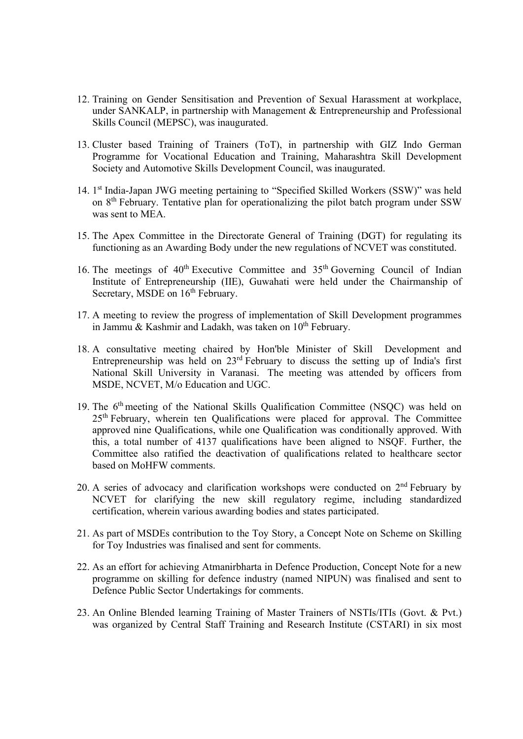- 12. Training on Gender Sensitisation and Prevention of Sexual Harassment at workplace, under SANKALP, in partnership with Management & Entrepreneurship and Professional Skills Council (MEPSC), was inaugurated.
- 13. Cluster based Training of Trainers (ToT), in partnership with GIZ Indo German Programme for Vocational Education and Training, Maharashtra Skill Development Society and Automotive Skills Development Council, was inaugurated.
- 14. 1<sup>st</sup> India-Japan JWG meeting pertaining to "Specified Skilled Workers (SSW)" was held on 8th February. Tentative plan for operationalizing the pilot batch program under SSW was sent to MEA.
- 15. The Apex Committee in the Directorate General of Training (DGT) for regulating its functioning as an Awarding Body under the new regulations of NCVET was constituted.
- 16. The meetings of  $40<sup>th</sup>$  Executive Committee and  $35<sup>th</sup>$  Governing Council of Indian Institute of Entrepreneurship (IIE), Guwahati were held under the Chairmanship of Secretary, MSDE on 16<sup>th</sup> February.
- 17. A meeting to review the progress of implementation of Skill Development programmes in Jammu & Kashmir and Ladakh, was taken on  $10^{th}$  February.
- 18. A consultative meeting chaired by Hon'ble Minister of Skill Development and Entrepreneurship was held on 23rd February to discuss the setting up of India's first National Skill University in Varanasi. The meeting was attended by officers from MSDE, NCVET, M/o Education and UGC.
- 19. The 6th meeting of the National Skills Qualification Committee (NSQC) was held on  $25<sup>th</sup>$  February, wherein ten Qualifications were placed for approval. The Committee approved nine Qualifications, while one Qualification was conditionally approved. With this, a total number of 4137 qualifications have been aligned to NSQF. Further, the Committee also ratified the deactivation of qualifications related to healthcare sector based on MoHFW comments.
- 20. A series of advocacy and clarification workshops were conducted on 2<sup>nd</sup> February by NCVET for clarifying the new skill regulatory regime, including standardized certification, wherein various awarding bodies and states participated.
- 21. As part of MSDEs contribution to the Toy Story, a Concept Note on Scheme on Skilling for Toy Industries was finalised and sent for comments.
- 22. As an effort for achieving Atmanirbharta in Defence Production, Concept Note for a new programme on skilling for defence industry (named NIPUN) was finalised and sent to Defence Public Sector Undertakings for comments.
- 23. An Online Blended learning Training of Master Trainers of NSTIs/ITIs (Govt. & Pvt.) was organized by Central Staff Training and Research Institute (CSTARI) in six most